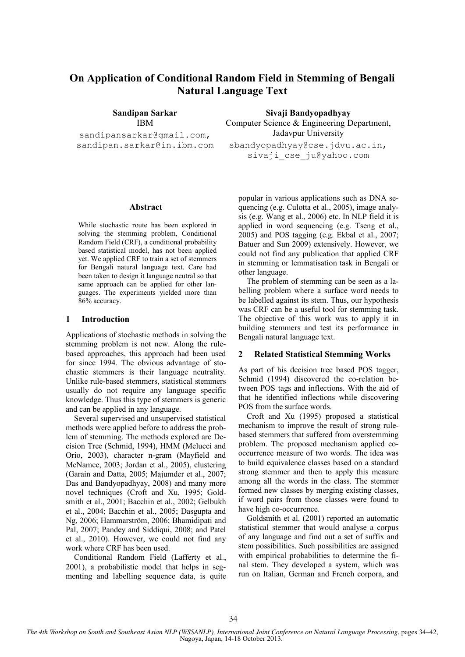# **On Application of Conditional Random Field in Stemming of Bengali Natural Language Text**

**Sandipan Sarkar**  IBM

sandipansarkar@gmail.com, sandipan.sarkar@in.ibm.com

**Sivaji Bandyopadhyay**  Computer Science & Engineering Department, Jadavpur University

sbandyopadhyay@cse.jdvu.ac.in, sivaji cse ju@yahoo.com

## **Abstract**

While stochastic route has been explored in solving the stemming problem, Conditional Random Field (CRF), a conditional probability based statistical model, has not been applied yet. We applied CRF to train a set of stemmers for Bengali natural language text. Care had been taken to design it language neutral so that same approach can be applied for other languages. The experiments yielded more than 86% accuracy.

## **1 Introduction**

Applications of stochastic methods in solving the stemming problem is not new. Along the rulebased approaches, this approach had been used for since 1994. The obvious advantage of stochastic stemmers is their language neutrality. Unlike rule-based stemmers, statistical stemmers usually do not require any language specific knowledge. Thus this type of stemmers is generic and can be applied in any language.

Several supervised and unsupervised statistical methods were applied before to address the problem of stemming. The methods explored are Decision Tree (Schmid, 1994), HMM (Melucci and Orio, 2003), character n-gram (Mayfield and McNamee, 2003; Jordan et al., 2005), clustering (Garain and Datta, 2005; Majumder et al., 2007; Das and Bandyopadhyay, 2008) and many more novel techniques (Croft and Xu, 1995; Goldsmith et al., 2001; Bacchin et al., 2002; Gelbukh et al., 2004; Bacchin et al., 2005; Dasgupta and Ng, 2006; Hammarström, 2006; Bhamidipati and Pal, 2007; Pandey and Siddiqui, 2008; and Patel et al., 2010). However, we could not find any work where CRF has been used.

Conditional Random Field (Lafferty et al., 2001), a probabilistic model that helps in segmenting and labelling sequence data, is quite popular in various applications such as DNA sequencing (e.g. Culotta et al., 2005), image analysis (e.g. Wang et al., 2006) etc. In NLP field it is applied in word sequencing (e.g. Tseng et al., 2005) and POS tagging (e.g. Ekbal et al., 2007; Batuer and Sun 2009) extensively. However, we could not find any publication that applied CRF in stemming or lemmatisation task in Bengali or other language.

The problem of stemming can be seen as a labelling problem where a surface word needs to be labelled against its stem. Thus, our hypothesis was CRF can be a useful tool for stemming task. The objective of this work was to apply it in building stemmers and test its performance in Bengali natural language text.

# **2 Related Statistical Stemming Works**

As part of his decision tree based POS tagger, Schmid (1994) discovered the co-relation between POS tags and inflections. With the aid of that he identified inflections while discovering POS from the surface words.

Croft and Xu (1995) proposed a statistical mechanism to improve the result of strong rulebased stemmers that suffered from overstemming problem. The proposed mechanism applied cooccurrence measure of two words. The idea was to build equivalence classes based on a standard strong stemmer and then to apply this measure among all the words in the class. The stemmer formed new classes by merging existing classes, if word pairs from those classes were found to have high co-occurrence.

Goldsmith et al. (2001) reported an automatic statistical stemmer that would analyse a corpus of any language and find out a set of suffix and stem possibilities. Such possibilities are assigned with empirical probabilities to determine the final stem. They developed a system, which was run on Italian, German and French corpora, and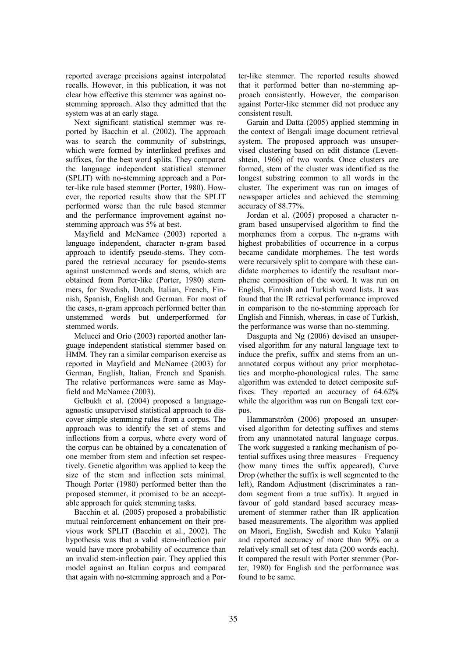reported average precisions against interpolated recalls. However, in this publication, it was not clear how effective this stemmer was against nostemming approach. Also they admitted that the system was at an early stage.

Next significant statistical stemmer was reported by Bacchin et al. (2002). The approach was to search the community of substrings, which were formed by interlinked prefixes and suffixes, for the best word splits. They compared the language independent statistical stemmer (SPLIT) with no-stemming approach and a Porter-like rule based stemmer (Porter, 1980). However, the reported results show that the SPLIT performed worse than the rule based stemmer and the performance improvement against nostemming approach was 5% at best.

Mayfield and McNamee (2003) reported a language independent, character n-gram based approach to identify pseudo-stems. They compared the retrieval accuracy for pseudo-stems against unstemmed words and stems, which are obtained from Porter-like (Porter, 1980) stemmers, for Swedish, Dutch, Italian, French, Finnish, Spanish, English and German. For most of the cases, n-gram approach performed better than unstemmed words but underperformed for stemmed words.

Melucci and Orio (2003) reported another language independent statistical stemmer based on HMM. They ran a similar comparison exercise as reported in Mayfield and McNamee (2003) for German, English, Italian, French and Spanish. The relative performances were same as Mayfield and McNamee (2003).

Gelbukh et al. (2004) proposed a languageagnostic unsupervised statistical approach to discover simple stemming rules from a corpus. The approach was to identify the set of stems and inflections from a corpus, where every word of the corpus can be obtained by a concatenation of one member from stem and infection set respectively. Genetic algorithm was applied to keep the size of the stem and inflection sets minimal. Though Porter (1980) performed better than the proposed stemmer, it promised to be an acceptable approach for quick stemming tasks.

Bacchin et al. (2005) proposed a probabilistic mutual reinforcement enhancement on their previous work SPLIT (Bacchin et al., 2002). The hypothesis was that a valid stem-inflection pair would have more probability of occurrence than an invalid stem-inflection pair. They applied this model against an Italian corpus and compared that again with no-stemming approach and a Porter-like stemmer. The reported results showed that it performed better than no-stemming approach consistently. However, the comparison against Porter-like stemmer did not produce any consistent result.

Garain and Datta (2005) applied stemming in the context of Bengali image document retrieval system. The proposed approach was unsupervised clustering based on edit distance (Levenshtein, 1966) of two words. Once clusters are formed, stem of the cluster was identified as the longest substring common to all words in the cluster. The experiment was run on images of newspaper articles and achieved the stemming accuracy of 88.77%.

Jordan et al. (2005) proposed a character ngram based unsupervised algorithm to find the morphemes from a corpus. The n-grams with highest probabilities of occurrence in a corpus became candidate morphemes. The test words were recursively split to compare with these candidate morphemes to identify the resultant morpheme composition of the word. It was run on English, Finnish and Turkish word lists. It was found that the IR retrieval performance improved in comparison to the no-stemming approach for English and Finnish, whereas, in case of Turkish, the performance was worse than no-stemming.

Dasgupta and Ng (2006) devised an unsupervised algorithm for any natural language text to induce the prefix, suffix and stems from an unannotated corpus without any prior morphotactics and morpho-phonological rules. The same algorithm was extended to detect composite suffixes. They reported an accuracy of 64.62% while the algorithm was run on Bengali text corpus.

Hammarström (2006) proposed an unsupervised algorithm for detecting suffixes and stems from any unannotated natural language corpus. The work suggested a ranking mechanism of potential suffixes using three measures – Frequency (how many times the suffix appeared), Curve Drop (whether the suffix is well segmented to the left), Random Adjustment (discriminates a random segment from a true suffix). It argued in favour of gold standard based accuracy measurement of stemmer rather than IR application based measurements. The algorithm was applied on Maori, English, Swedish and Kuku Yalanji and reported accuracy of more than 90% on a relatively small set of test data (200 words each). It compared the result with Porter stemmer (Porter, 1980) for English and the performance was found to be same.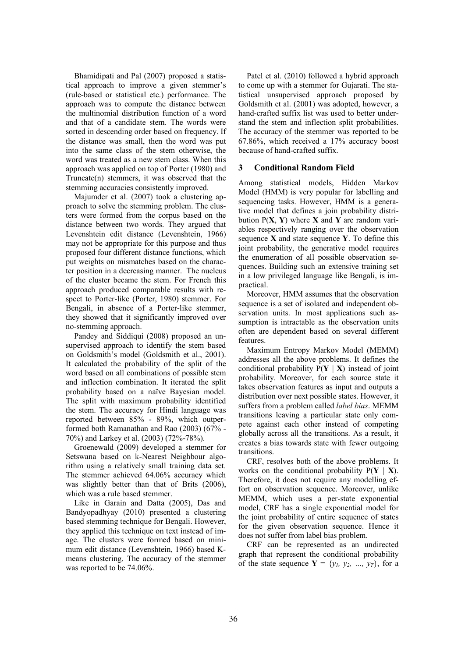Bhamidipati and Pal (2007) proposed a statistical approach to improve a given stemmer's (rule-based or statistical etc.) performance. The approach was to compute the distance between the multinomial distribution function of a word and that of a candidate stem. The words were sorted in descending order based on frequency. If the distance was small, then the word was put into the same class of the stem otherwise, the word was treated as a new stem class. When this approach was applied on top of Porter (1980) and Truncate(n) stemmers, it was observed that the stemming accuracies consistently improved.

Majumder et al. (2007) took a clustering approach to solve the stemming problem. The clusters were formed from the corpus based on the distance between two words. They argued that Levenshtein edit distance (Levenshtein, 1966) may not be appropriate for this purpose and thus proposed four different distance functions, which put weights on mismatches based on the character position in a decreasing manner. The nucleus of the cluster became the stem. For French this approach produced comparable results with respect to Porter-like (Porter, 1980) stemmer. For Bengali, in absence of a Porter-like stemmer, they showed that it significantly improved over no-stemming approach.

Pandey and Siddiqui (2008) proposed an unsupervised approach to identify the stem based on Goldsmith's model (Goldsmith et al., 2001). It calculated the probability of the split of the word based on all combinations of possible stem and inflection combination. It iterated the split probability based on a naïve Bayesian model. The split with maximum probability identified the stem. The accuracy for Hindi language was reported between 85% - 89%, which outperformed both Ramanathan and Rao (2003) (67% - 70%) and Larkey et al. (2003) (72%-78%).

Groenewald (2009) developed a stemmer for Setswana based on k-Nearest Neighbour algorithm using a relatively small training data set. The stemmer achieved 64.06% accuracy which was slightly better than that of Brits (2006), which was a rule based stemmer.

Like in Garain and Datta (2005), Das and Bandyopadhyay (2010) presented a clustering based stemming technique for Bengali. However, they applied this technique on text instead of image. The clusters were formed based on minimum edit distance (Levenshtein, 1966) based Kmeans clustering. The accuracy of the stemmer was reported to be 74.06%.

Patel et al. (2010) followed a hybrid approach to come up with a stemmer for Gujarati. The statistical unsupervised approach proposed by Goldsmith et al. (2001) was adopted, however, a hand-crafted suffix list was used to better understand the stem and inflection split probabilities. The accuracy of the stemmer was reported to be 67.86%, which received a 17% accuracy boost because of hand-crafted suffix.

# **3 Conditional Random Field**

Among statistical models, Hidden Markov Model (HMM) is very popular for labelling and sequencing tasks. However, HMM is a generative model that defines a join probability distribution P(**X**, **Y**) where **X** and **Y** are random variables respectively ranging over the observation sequence **X** and state sequence **Y**. To define this joint probability, the generative model requires the enumeration of all possible observation sequences. Building such an extensive training set in a low privileged language like Bengali, is impractical.

Moreover, HMM assumes that the observation sequence is a set of isolated and independent observation units. In most applications such assumption is intractable as the observation units often are dependent based on several different features.

Maximum Entropy Markov Model (MEMM) addresses all the above problems. It defines the conditional probability  $P(Y | X)$  instead of joint probability. Moreover, for each source state it takes observation features as input and outputs a distribution over next possible states. However, it suffers from a problem called *label bias*. MEMM transitions leaving a particular state only compete against each other instead of competing globally across all the transitions. As a result, it creates a bias towards state with fewer outgoing transitions.

CRF, resolves both of the above problems. It works on the conditional probability  $P(Y | X)$ . Therefore, it does not require any modelling effort on observation sequence. Moreover, unlike MEMM, which uses a per-state exponential model, CRF has a single exponential model for the joint probability of entire sequence of states for the given observation sequence. Hence it does not suffer from label bias problem.

CRF can be represented as an undirected graph that represent the conditional probability of the state sequence  $Y = \{y_1, y_2, ..., y_T\}$ , for a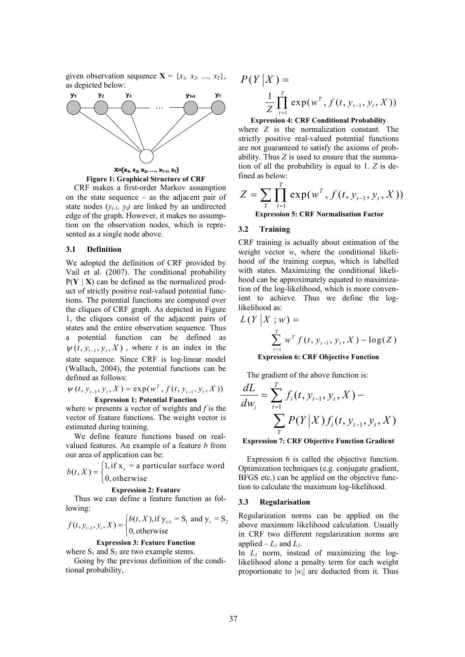given observation sequence  $X = \{x_1, x_2, ..., x_T\}$ , as depicted below:



**Figure 1: Graphical Structure of CRF** 

CRF makes a first-order Markov assumption on the state sequence – as the adjacent pair of state nodes  $(y_{t-1}, y_t)$  are linked by an undirected edge of the graph. However, it makes no assumption on the observation nodes, which is represented as a single node above.

#### **3.1 Definition**

We adopted the definition of CRF provided by Vail et al. (2007). The conditional probability  $P(Y | X)$  can be defined as the normalized product of strictly positive real-valued potential functions. The potential functions are computed over the cliques of CRF graph. As depicted in Figure 1, the cliques consist of the adjacent pairs of states and the entire observation sequence. Thus a potential function can be defined as  $\psi(t, y_{t-1}, y_t, X)$ , where *t* is an index in the state sequence. Since CRF is log-linear model (Wallach, 2004), the potential functions can be defined as follows:

$$
\psi(t, y_{t-1}, y_t, X) = \exp(w^T, f(t, y_{t-1}, y_t, X))
$$
  
Expression 1: Potential Function

where *w* presents a vector of weights and *f* is the vector of feature functions. The weight vector is estimated during training.

We define feature functions based on realvalued features. An example of a feature *b* from our area of application can be:

 $(t, X) = \begin{cases} 1, \text{if } x_t = \text{a particular surface word} \\ 0, \text{if } t \leq t \end{cases}$ 0, otherwise  $b(t, X) = \begin{cases} 1 & \text{if } t \leq T \\ 0 & \text{if } t \leq T \end{cases}$  $\overline{\mathfrak{l}}$ 

## **Expression 2: Feature**

Thus we can define a feature function as following:

$$
f(t, y_{t-1}, y_t, X) = \begin{cases} b(t, X), \text{if } y_{t-1} = S_1 \text{ and } y_t = S_2 \\ 0, \text{otherwise} \end{cases}
$$

# **Expression 3: Feature Function**

where  $S_1$  and  $S_2$  are two example stems.

Going by the previous definition of the conditional probability,

$$
P(Y | X) = \frac{1}{Z} \prod_{t=1}^{T} \exp(w^{T}, f(t, y_{t-1}, y_{t}, X))
$$

**Expression 4: CRF Conditional Probability** 

where *Z* is the normalization constant. The strictly positive real-valued potential functions are not guaranteed to satisfy the axioms of probability. Thus *Z* is used to ensure that the summation of all the probability is equal to 1. *Z* is defined as below:

$$
Z = \sum_{Y} \prod_{t=1}^{T} \exp(w^{T}, f(t, y_{t-1}, y_{t}, X))
$$
  
Expression 5: CRF Normalisation Factor

#### **Expression 5: CRF Normalisation Factor**

# **3.2 Training**

CRF training is actually about estimation of the weight vector  $w$ , where the conditional likelihood of the training corpus, which is labelled with states. Maximizing the conditional likelihood can be approximately equated to maximization of the log-likelihood, which is more convenient to achieve. Thus we define the loglikelihood as:

$$
L(Y | X; w) =
$$
  

$$
\sum_{t=1}^{T} w^{T} f(t, y_{t-1}, y_{t}, X) - \log(Z)
$$

**Expression 6: CRF Objective Function** 

The gradient of the above function is:

$$
\frac{dL}{dw_i} = \sum_{t=1}^{T} f_i(t, y_{t-1}, y_t, X) - \sum_{Y} P(Y|X) f_i(t, y_{t-1}, y_t, X)
$$

#### **Expression 7: CRF Objective Function Gradient**

Expression 6 is called the objective function. Optimization techniques (e.g. conjugate gradient, BFGS etc.) can be applied on the objective function to calculate the maximum log-likelihood.

#### **3.3 Regularisation**

Regularization norms can be applied on the above maximum likelihood calculation. Usually in CRF two different regularization norms are applied  $-L_1$  and  $L_2$ .

In  $L_1$  norm, instead of maximizing the loglikelihood alone a penalty term for each weight proportionate to  $|w_i|$  are deducted from it. Thus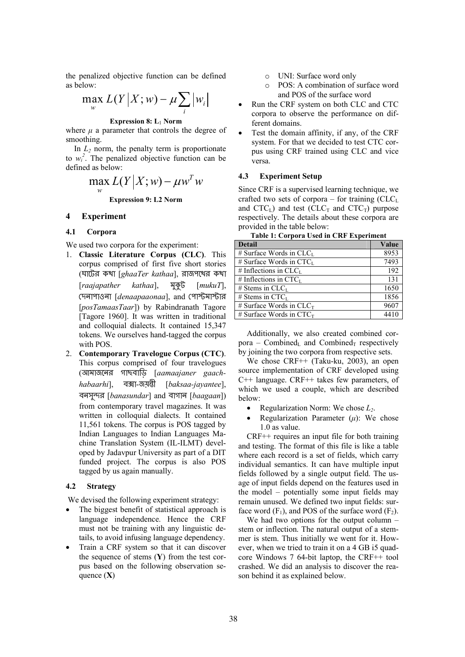the penalized objective function can be defined as below:

$$
\max_{w} L(Y|X;w) - \mu \sum_{i} |w_{i}|
$$

**Expression 8: L**1 **Norm** 

where  $\mu$  a parameter that controls the degree of smoothing.

In  $L_2$  norm, the penalty term is proportionate to  $w_i^2$ . The penalized objective function can be defined as below:

$$
\max_{w} L(Y|X;w) - \mu w^T w
$$

**Expression 9: L2 Norm** 

#### **4 Experiment**

## **4.1 Corpora**

We used two corpora for the experiment:

- 1. **Classic Literature Corpus (CLC)**. This corpus comprised of first five short stories (ঘাটের কথা [ $ghaaTer\ kathaa$ ], রাজপথের কথা [*raajapather kathaa*],  [*mukuT*], দেনাপাওনা [*denaapaaonaa*], and পোস্টমাস্টার [*posTamaasTaar*]) by Rabindranath Tagore [Tagore 1960]. It was written in traditional and colloquial dialects. It contained 15,347 tokens. We ourselves hand-tagged the corpus with POS.
- 2. **Contemporary Travelogue Corpus (CTC)**. This corpus comprised of four travelogues ( - -- [*aamaajaner gaachhabaarhi*], -- [*baksaa-jayantee*], বনসুন্দর [*banasundar*] and বাগান [*baagaan*]) from contemporary travel magazines. It was written in colloquial dialects. It contained 11,561 tokens. The corpus is POS tagged by Indian Languages to Indian Languages Machine Translation System (IL-ILMT) developed by Jadavpur University as part of a DIT funded project. The corpus is also POS tagged by us again manually.

## **4.2 Strategy**

We devised the following experiment strategy:

- The biggest benefit of statistical approach is language independence. Hence the CRF must not be training with any linguistic details, to avoid infusing language dependency.
- Train a CRF system so that it can discover the sequence of stems (**Y**) from the test corpus based on the following observation sequence (**X**)
- o UNI: Surface word only
- POS: A combination of surface word and POS of the surface word
- Run the CRF system on both CLC and CTC corpora to observe the performance on different domains.
- Test the domain affinity, if any, of the CRF system. For that we decided to test CTC corpus using CRF trained using CLC and vice versa.

#### **4.3 Experiment Setup**

Since CRF is a supervised learning technique, we crafted two sets of corpora – for training  $CLC<sub>L</sub>$ and  $CTC<sub>L</sub>$ ) and test (CLC<sub>T</sub> and  $CTC<sub>T</sub>$ ) purpose respectively. The details about these corpora are provided in the table below:

**Table 1: Corpora Used in CRF Experiment** 

| <b>Detail</b>                         | Value |
|---------------------------------------|-------|
| # Surface Words in $CLC$ <sub>L</sub> | 8953  |
| # Surface Words in $CTC_L$            | 7493  |
| # Inflections in $CLCL$               | 192   |
| # Inflections in $CTCL$               | 131   |
| # Stems in $CLCL$                     | 1650  |
| # Stems in $CTCL$                     | 1856  |
| # Surface Words in $CLC_T$            | 9607  |
| # Surface Words in $CTC_T$            | 4410  |

Additionally, we also created combined corpora – Combined<sub>L</sub> and Combined<sub>T</sub> respectively by joining the two corpora from respective sets.

We chose CRF++ (Taku-ku, 2003), an open source implementation of CRF developed using C++ language. CRF++ takes few parameters, of which we used a couple, which are described below:

- Regularization Norm: We chose *L2*.
- Regularization Parameter  $(\mu)$ : We chose 1.0 as value.

CRF++ requires an input file for both training and testing. The format of this file is like a table where each record is a set of fields, which carry individual semantics. It can have multiple input fields followed by a single output field. The usage of input fields depend on the features used in the model – potentially some input fields may remain unused. We defined two input fields: surface word  $(F_1)$ , and POS of the surface word  $(F_2)$ .

We had two options for the output column – stem or inflection. The natural output of a stemmer is stem. Thus initially we went for it. However, when we tried to train it on a 4 GB i5 quadcore Windows 7 64-bit laptop, the CRF++ tool crashed. We did an analysis to discover the reason behind it as explained below.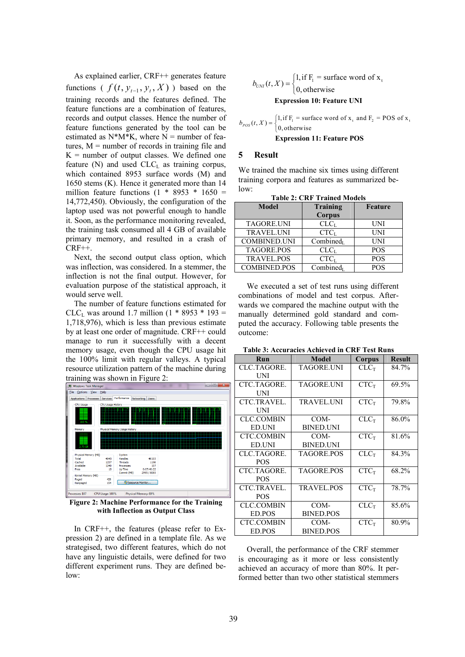As explained earlier, CRF++ generates feature functions (  $f(t, y_{t-1}, y_t, X)$  ) based on the training records and the features defined. The feature functions are a combination of features, records and output classes. Hence the number of feature functions generated by the tool can be estimated as  $N^*M^*K$ , where  $N =$  number of features,  $M =$  number of records in training file and  $K =$  number of output classes. We defined one feature  $(N)$  and used  $CLC<sub>L</sub>$  as training corpus, which contained 8953 surface words (M) and 1650 stems (K). Hence it generated more than 14 million feature functions (1  $*$  8953  $*$  1650 = 14,772,450). Obviously, the configuration of the laptop used was not powerful enough to handle it. Soon, as the performance monitoring revealed, the training task consumed all 4 GB of available primary memory, and resulted in a crash of CRF++.

Next, the second output class option, which was inflection, was considered. In a stemmer, the inflection is not the final output. However, for evaluation purpose of the statistical approach, it would serve well.

The number of feature functions estimated for CLC<sub>L</sub> was around 1.7 million  $(1 * 8953 * 193 =$ 1,718,976), which is less than previous estimate by at least one order of magnitude. CRF++ could manage to run it successfully with a decent memory usage, even though the CPU usage hit the 100% limit with regular valleys. A typical resource utilization pattern of the machine during



**Figure 2: Machine Performance for the Training with Inflection as Output Class** 

In CRF++, the features (please refer to Expression 2) are defined in a template file. As we strategised, two different features, which do not have any linguistic details, were defined for two different experiment runs. They are defined below:

$$
b_{UNI}(t, X) = \begin{cases} 1, \text{if } F_1 = \text{surface word of } x_t \\ 0, \text{otherwise} \end{cases}
$$

#### **Expression 10: Feature UNI**

[1, if  $F_1$  = surface word of  $x_1$  and  $F_2$  = POS of  $x_1$  $b_{POS}(t, X) = \begin{cases} 1, \text{if } F_1 = \text{sur} \\ 0, \text{otherwise} \end{cases}$  $0,$  otherwise

### **Expression 11: Feature POS**

#### **5 Result**

We trained the machine six times using different training corpora and features as summarized below:

| TADIC 4. UIXT TTAHIUU MOUCIS |                       |            |  |  |
|------------------------------|-----------------------|------------|--|--|
| Model                        | <b>Training</b>       | Feature    |  |  |
|                              | Corpus                |            |  |  |
| <b>TAGORE.UNI</b>            | CLC <sub>I</sub>      | UNI        |  |  |
| <b>TRAVEL UNI</b>            | CTC <sub>I</sub>      | UNI        |  |  |
| <b>COMBINED.UNI</b>          | Combined <sub>L</sub> | UNI        |  |  |
| <b>TAGORE.POS</b>            | CLC <sub>L</sub>      | <b>POS</b> |  |  |
| <b>TRAVEL.POS</b>            | CTC <sub>I</sub>      | <b>POS</b> |  |  |
| <b>COMBINED.POS</b>          | Combined <sub>L</sub> | <b>POS</b> |  |  |

**Table 2: CRF Trained Models** 

We executed a set of test runs using different combinations of model and test corpus. Afterwards we compared the machine output with the manually determined gold standard and computed the accuracy. Following table presents the outcome:

| Run                | Model             | Corpus           | <b>Result</b> |
|--------------------|-------------------|------------------|---------------|
| CLC.TAGORE.        | TAGORE.UNI        | $CLC_T$          | 84.7%         |
| UNI                |                   |                  |               |
| CTC.TAGORE.        | <b>TAGORE UNI</b> | $CTC_T$          | 69.5%         |
| <b>UNI</b>         |                   |                  |               |
| <b>CTC.TRAVEL.</b> | <b>TRAVEL UNI</b> | $CTC_T$          | 79.8%         |
| UNI                |                   |                  |               |
| <b>CLC.COMBIN</b>  | COM-              | CLC <sub>T</sub> | 86.0%         |
| ED.UNI             | <b>BINED UNI</b>  |                  |               |
| <b>CTC.COMBIN</b>  | COM-              | $CTC_T$          | 81.6%         |
| ED.UNI             | <b>BINED.UNI</b>  |                  |               |
| CLC.TAGORE.        | <b>TAGORE POS</b> | $CLC_T$          | 84.3%         |
| <b>POS</b>         |                   |                  |               |
| CTC.TAGORE.        | TAGORE POS        | $CTC_T$          | 68.2%         |
| <b>POS</b>         |                   |                  |               |
| CTC.TRAVEL.        | <b>TRAVEL POS</b> | $CTC_T$          | 78.7%         |
| <b>POS</b>         |                   |                  |               |
| <b>CLC.COMBIN</b>  | COM-              | $CLC_T$          | 85.6%         |
| ED.POS             | <b>BINED.POS</b>  |                  |               |
| <b>CTC.COMBIN</b>  | COM-              | $CTC_T$          | 80.9%         |
| ED.POS             | <b>BINED POS</b>  |                  |               |

**Table 3: Accuracies Achieved in CRF Test Runs** 

Overall, the performance of the CRF stemmer is encouraging as it more or less consistently achieved an accuracy of more than 80%. It performed better than two other statistical stemmers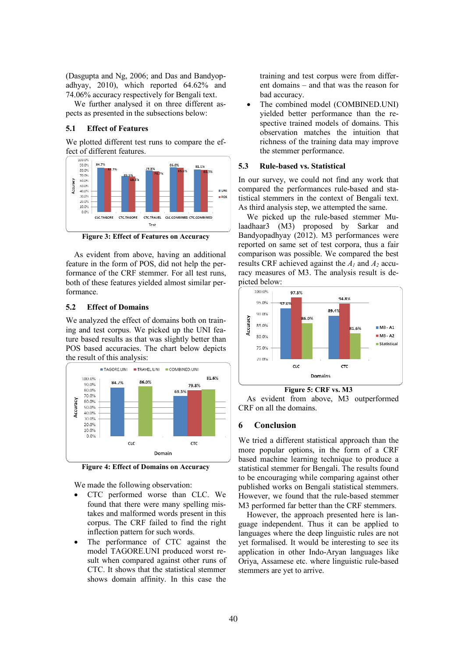(Dasgupta and Ng, 2006; and Das and Bandyopadhyay, 2010), which reported 64.62% and 74.06% accuracy respectively for Bengali text.

We further analysed it on three different aspects as presented in the subsections below:

## **5.1 Effect of Features**

We plotted different test runs to compare the effect of different features.



**Figure 3: Effect of Features on Accuracy** 

As evident from above, having an additional feature in the form of POS, did not help the performance of the CRF stemmer. For all test runs, both of these features yielded almost similar performance.

# **5.2 Effect of Domains**

We analyzed the effect of domains both on training and test corpus. We picked up the UNI feature based results as that was slightly better than POS based accuracies. The chart below depicts the result of this analysis:



**Figure 4: Effect of Domains on Accuracy** 

We made the following observation:

- CTC performed worse than CLC. We found that there were many spelling mistakes and malformed words present in this corpus. The CRF failed to find the right inflection pattern for such words.
- The performance of CTC against the model TAGORE.UNI produced worst result when compared against other runs of CTC. It shows that the statistical stemmer shows domain affinity. In this case the

training and test corpus were from different domains – and that was the reason for bad accuracy.

The combined model (COMBINED.UNI) yielded better performance than the respective trained models of domains. This observation matches the intuition that richness of the training data may improve the stemmer performance.

# **5.3 Rule-based vs. Statistical**

In our survey, we could not find any work that compared the performances rule-based and statistical stemmers in the context of Bengali text. As third analysis step, we attempted the same.

We picked up the rule-based stemmer Mulaadhaar3 (M3) proposed by Sarkar and Bandyopadhyay (2012). M3 performances were reported on same set of test corpora, thus a fair comparison was possible. We compared the best results CRF achieved against the *A1* and *A2* accuracy measures of M3. The analysis result is depicted below:



**Figure 5: CRF vs. M3** 

As evident from above, M3 outperformed CRF on all the domains.

# **6 Conclusion**

We tried a different statistical approach than the more popular options, in the form of a CRF based machine learning technique to produce a statistical stemmer for Bengali. The results found to be encouraging while comparing against other published works on Bengali statistical stemmers. However, we found that the rule-based stemmer M3 performed far better than the CRF stemmers.

However, the approach presented here is language independent. Thus it can be applied to languages where the deep linguistic rules are not yet formalised. It would be interesting to see its application in other Indo-Aryan languages like Oriya, Assamese etc. where linguistic rule-based stemmers are yet to arrive.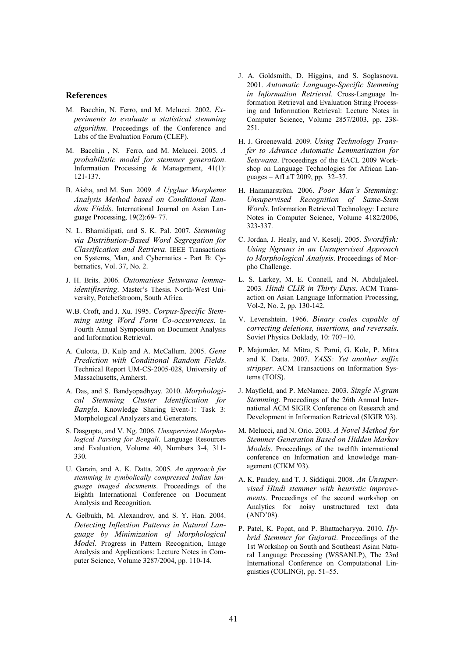#### **References**

- M. Bacchin, N. Ferro, and M. Melucci. 2002. *Experiments to evaluate a statistical stemming algorithm*. Proceedings of the Conference and Labs of the Evaluation Forum (CLEF).
- M. Bacchin , N. Ferro, and M. Melucci. 2005. *A probabilistic model for stemmer generation*. Information Processing & Management, 41(1): 121-137.
- B. Aisha, and M. Sun. 2009. *A Uyghur Morpheme Analysis Method based on Conditional Random Fields*. International Journal on Asian Language Processing, 19(2):69- 77.
- N. L. Bhamidipati, and S. K. Pal. 2007*. Stemming via Distribution-Based Word Segregation for Classification and Retrieva*. IEEE Transactions on Systems, Man, and Cybernatics - Part B: Cybernatics, Vol. 37, No. 2.
- J. H. Brits. 2006. *Outomatiese Setswana lemmaidentifisering*. Master's Thesis. North-West University, Potchefstroom, South Africa.
- W.B. Croft, and J. Xu. 1995. *Corpus-Specific Stemming using Word Form Co-occurrences*. In Fourth Annual Symposium on Document Analysis and Information Retrieval.
- A. Culotta, D. Kulp and A. McCallum. 2005. *Gene Prediction with Conditional Random Fields*. Technical Report UM-CS-2005-028, University of Massachusetts, Amherst.
- A. Das, and S. Bandyopadhyay. 2010. *Morphological Stemming Cluster Identification for Bangla*. Knowledge Sharing Event-1: Task 3: Morphological Analyzers and Generators.
- S. Dasgupta, and V. Ng. 2006. *Unsupervised Morphological Parsing for Bengali*. Language Resources and Evaluation, Volume 40, Numbers 3-4, 311- 330.
- U. Garain, and A. K. Datta. 2005. *An approach for stemming in symbolically compressed Indian language imaged documents*. Proceedings of the Eighth International Conference on Document Analysis and Recognition.
- A. Gelbukh, M. Alexandrov, and S. Y. Han. 2004. *Detecting Inflection Patterns in Natural Language by Minimization of Morphological Model*. Progress in Pattern Recognition, Image Analysis and Applications: Lecture Notes in Computer Science, Volume 3287/2004, pp. 110-14.
- J. A. Goldsmith, D. Higgins, and S. Soglasnova. 2001. *Automatic Language-Specific Stemming in Information Retrieval*. Cross-Language Information Retrieval and Evaluation String Processing and Information Retrieval: Lecture Notes in Computer Science, Volume 2857/2003, pp. 238- 251.
- H. J. Groenewald. 2009. *Using Technology Transfer to Advance Automatic Lemmatisation for Setswana*. Proceedings of the EACL 2009 Workshop on Language Technologies for African Languages – AfLaT 2009, pp. 32–37.
- H. Hammarström. 2006. *Poor Man's Stemming: Unsupervised Recognition of Same-Stem Words*. Information Retrieval Technology: Lecture Notes in Computer Science, Volume 4182/2006, 323-337.
- C. Jordan, J. Healy, and V. Keselj. 2005. *Swordfish: Using Ngrams in an Unsupervised Approach to Morphological Analysis*. Proceedings of Morpho Challenge.
- L. S. Larkey, M. E. Connell, and N. Abduljaleel. 2003*. Hindi CLIR in Thirty Days*. ACM Transaction on Asian Language Information Processing, Vol-2, No. 2, pp. 130-142.
- V. Levenshtein. 1966. *Binary codes capable of correcting deletions, insertions, and reversals*. Soviet Physics Doklady, 10: 707–10.
- P. Majumder, M. Mitra, S. Parui, G. Kole, P. Mitra and K. Datta. 2007. *YASS: Yet another suffix stripper*. ACM Transactions on Information Systems (TOIS).
- J. Mayfield, and P. McNamee. 2003. *Single N-gram Stemming*. Proceedings of the 26th Annual International ACM SIGIR Conference on Research and Development in Information Retrieval (SIGIR '03).
- M. Melucci, and N. Orio. 2003. *A Novel Method for Stemmer Generation Based on Hidden Markov Models*. Proceedings of the twelfth international conference on Information and knowledge management (CIKM '03).
- A. K. Pandey, and T. J. Siddiqui. 2008. *An Unsupervised Hindi stemmer with heuristic improvements*. Proceedings of the second workshop on Analytics for noisy unstructured text data (AND'08).
- P. Patel, K. Popat, and P. Bhattacharyya. 2010. *Hybrid Stemmer for Gujarati*. Proceedings of the 1st Workshop on South and Southeast Asian Natural Language Processing (WSSANLP), The 23rd International Conference on Computational Linguistics (COLING), pp. 51–55.